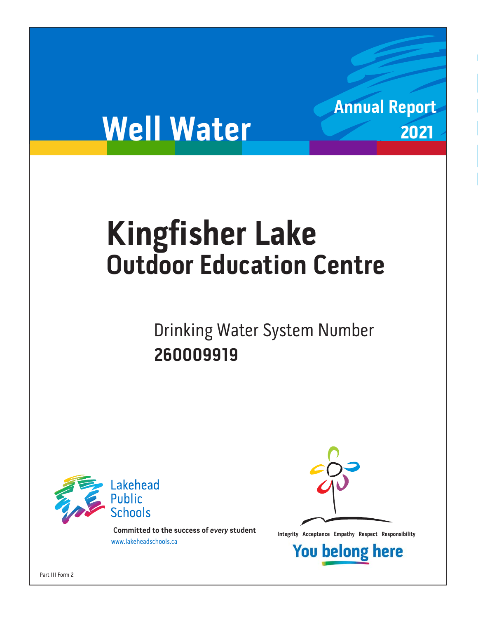# **Well Water**

# **Kingfisher Lake Outdoor Education Centre**

om Number System Number System Number System Number System Number System Number System Number System Number System Number System Number System Number System Number System Number System Number System Number System Number Sy **260009919**



**Integrity Acceptance Empathy Respect Responsibility integrity Acceptance Empathy Respect Responsibility Example 1** 



**Annual Report**

2021

**You belong here** 

Part III Form 2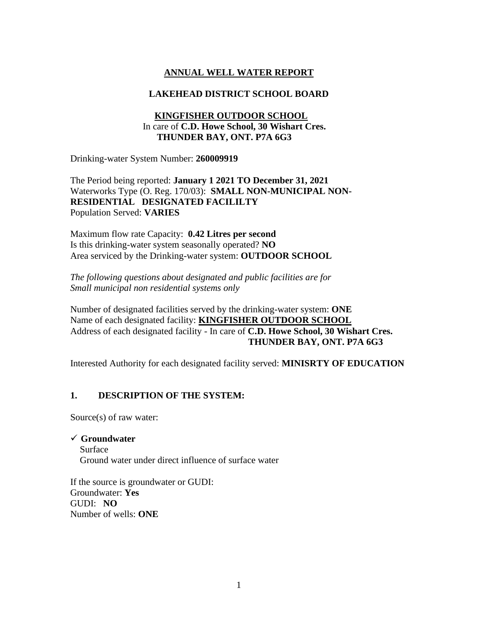# **ANNUAL WELL WATER REPORT**

#### **LAKEHEAD DISTRICT SCHOOL BOARD**

#### **KINGFISHER OUTDOOR SCHOOL** In care of **C.D. Howe School, 30 Wishart Cres. THUNDER BAY, ONT. P7A 6G3**

Drinking-water System Number: **260009919**

The Period being reported: **January 1 2021 TO December 31, 2021** Waterworks Type (O. Reg. 170/03): **SMALL NON-MUNICIPAL NON-RESIDENTIAL DESIGNATED FACILILTY**  Population Served: **VARIES**

Maximum flow rate Capacity: **0.42 Litres per second** Is this drinking-water system seasonally operated? **NO** Area serviced by the Drinking-water system: **OUTDOOR SCHOOL**

*The following questions about designated and public facilities are for Small municipal non residential systems only* 

Number of designated facilities served by the drinking-water system: **ONE** Name of each designated facility: **KINGFISHER OUTDOOR SCHOOL** Address of each designated facility - In care of **C.D. Howe School, 30 Wishart Cres. THUNDER BAY, ONT. P7A 6G3**

Interested Authority for each designated facility served: **MINISRTY OF EDUCATION**

#### **1. DESCRIPTION OF THE SYSTEM:**

Source(s) of raw water:

#### ✓ **Groundwater**

 Surface Ground water under direct influence of surface water

If the source is groundwater or GUDI: Groundwater: **Yes**  GUDI: **NO** Number of wells: **ONE**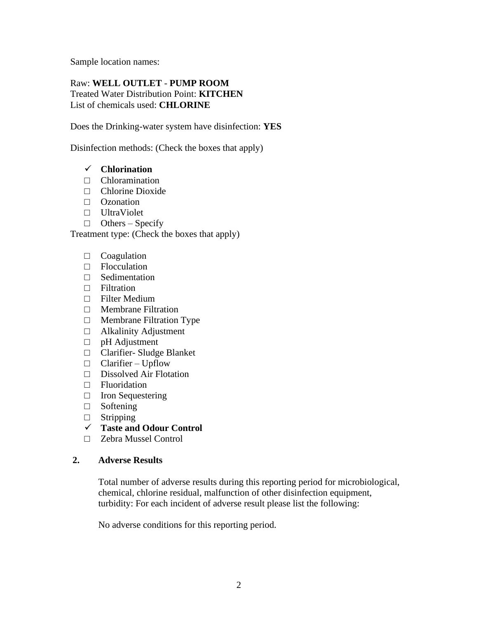Sample location names:

#### Raw: **WELL OUTLET** - **PUMP ROOM** Treated Water Distribution Point: **KITCHEN** List of chemicals used: **CHLORINE**

Does the Drinking-water system have disinfection: **YES**

Disinfection methods: (Check the boxes that apply)

#### ✓ **Chlorination**

- □ Chloramination
- □ Chlorine Dioxide
- □ Ozonation
- □ UltraViolet
- $\Box$  Others Specify

Treatment type: (Check the boxes that apply)

- □ Coagulation
- □ Flocculation
- □ Sedimentation
- □ Filtration
- □ Filter Medium
- □ Membrane Filtration
- □ Membrane Filtration Type
- □ Alkalinity Adjustment
- □ pH Adjustment
- □ Clarifier- Sludge Blanket
- □ Clarifier Upflow
- □ Dissolved Air Flotation
- □ Fluoridation
- □ Iron Sequestering
- □ Softening
- □ Stripping
- ✓ **Taste and Odour Control**
- □ Zebra Mussel Control

#### **2. Adverse Results**

Total number of adverse results during this reporting period for microbiological, chemical, chlorine residual, malfunction of other disinfection equipment, turbidity: For each incident of adverse result please list the following:

No adverse conditions for this reporting period.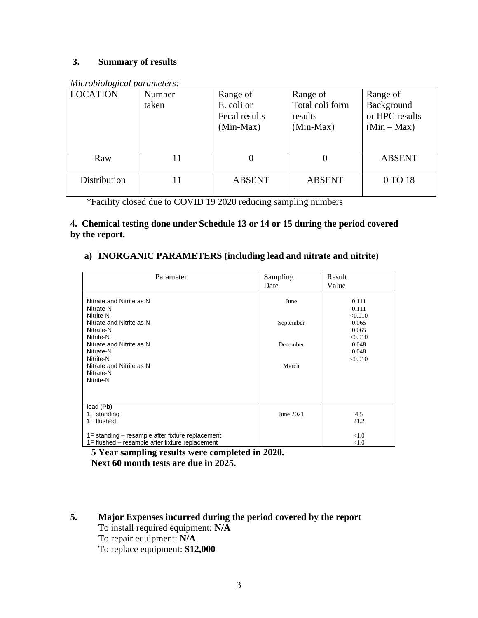# **3. Summary of results**

| <u>Heichobiological parameters.</u> |        |               |                 |                |  |
|-------------------------------------|--------|---------------|-----------------|----------------|--|
| <b>LOCATION</b>                     | Number | Range of      | Range of        | Range of       |  |
|                                     | taken  | E. coli or    | Total coli form | Background     |  |
|                                     |        | Fecal results | results         | or HPC results |  |
|                                     |        | $(Min-Max)$   | $(Min-Max)$     | $(Min-Max)$    |  |
|                                     |        |               |                 |                |  |
|                                     |        |               |                 |                |  |
| Raw                                 |        |               | $\theta$        | <b>ABSENT</b>  |  |
|                                     |        |               |                 |                |  |
| Distribution                        | 11     | <b>ABSENT</b> | <b>ABSENT</b>   | 0 TO 18        |  |
|                                     |        |               |                 |                |  |

*Microbiological parameters:* 

\*Facility closed due to COVID 19 2020 reducing sampling numbers

## **4. Chemical testing done under Schedule 13 or 14 or 15 during the period covered by the report.**

## **a) INORGANIC PARAMETERS (including lead and nitrate and nitrite)**

| Parameter                                                                                                                                                                                                            | Sampling<br>Date                       | Result<br>Value                                                                     |
|----------------------------------------------------------------------------------------------------------------------------------------------------------------------------------------------------------------------|----------------------------------------|-------------------------------------------------------------------------------------|
| Nitrate and Nitrite as N<br>Nitrate-N<br>Nitrite-N<br>Nitrate and Nitrite as N<br>Nitrate-N<br>Nitrite-N<br>Nitrate and Nitrite as N<br>Nitrate-N<br>Nitrite-N<br>Nitrate and Nitrite as N<br>Nitrate-N<br>Nitrite-N | June<br>September<br>December<br>March | 0.111<br>0.111<br>< 0.010<br>0.065<br>0.065<br>< 0.010<br>0.048<br>0.048<br>< 0.010 |
| lead (Pb)<br>1F standing<br>1F flushed<br>1F standing – resample after fixture replacement<br>1F flushed – resample after fixture replacement                                                                        | June 2021                              | 4.5<br>21.2<br>< 1.0<br>< 1.0                                                       |

**5 Year sampling results were completed in 2020. Next 60 month tests are due in 2025.**

# **5. Major Expenses incurred during the period covered by the report**

To install required equipment: **N/A** To repair equipment: **N/A** To replace equipment: **\$12,000**